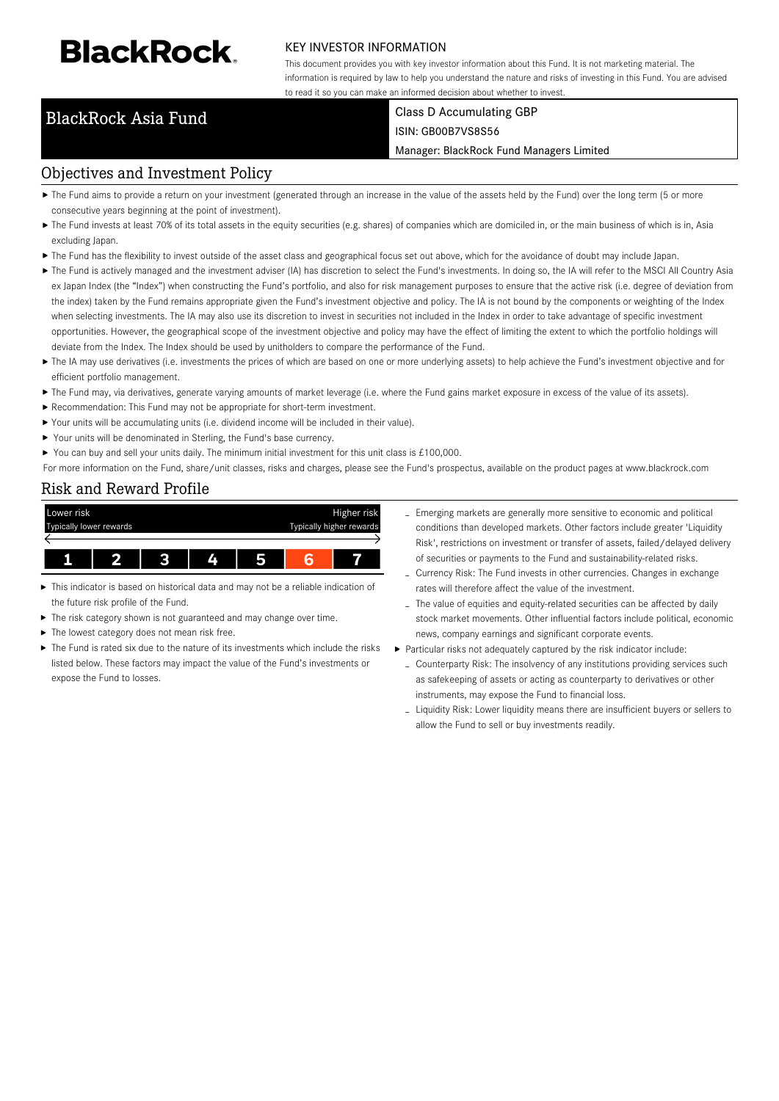# **BlackRock**

# KEY INVESTOR INFORMATION

This document provides you with key investor information about this Fund. It is not marketing material. The information is required by law to help you understand the nature and risks of investing in this Fund. You are advised to read it so you can make an informed decision about whether to invest.

## BlackRock Asia Fund Class D Accumulating GBP ISIN: GB00B7VS8S56

### Manager: BlackRock Fund Managers Limited

# Objectives and Investment Policy

- ▶ The Fund aims to provide a return on your investment (generated through an increase in the value of the assets held by the Fund) over the long term (5 or more consecutive years beginning at the point of investment).
- ▶ The Fund invests at least 70% of its total assets in the equity securities (e.g. shares) of companies which are domiciled in, or the main business of which is in, Asia excluding Japan.
- The Fund has the flexibility to invest outside of the asset class and geographical focus set out above, which for the avoidance of doubt may include Japan.
- ▶ The Fund is actively managed and the investment adviser (IA) has discretion to select the Fund's investments. In doing so, the IA will refer to the MSCI All Country Asia ex Japan Index (the "Index") when constructing the Fund's portfolio, and also for risk management purposes to ensure that the active risk (i.e. degree of deviation from the index) taken by the Fund remains appropriate given the Fund's investment objective and policy. The IA is not bound by the components or weighting of the Index when selecting investments. The IA may also use its discretion to invest in securities not included in the Index in order to take advantage of specific investment opportunities. However, the geographical scope of the investment objective and policy may have the effect of limiting the extent to which the portfolio holdings will deviate from the Index. The Index should be used by unitholders to compare the performance of the Fund.
- ▶ The IA may use derivatives (i.e. investments the prices of which are based on one or more underlying assets) to help achieve the Fund's investment objective and for efficient portfolio management.
- ▶ The Fund may, via derivatives, generate varying amounts of market leverage (i.e. where the Fund gains market exposure in excess of the value of its assets).
- Recommendation: This Fund may not be appropriate for short-term investment.
- Your units will be accumulating units (i.e. dividend income will be included in their value).
- ▶ Your units will be denominated in Sterling, the Fund's base currency.
- You can buy and sell your units daily. The minimum initial investment for this unit class is  $£100,000$ .

For more information on the Fund, share/unit classes, risks and charges, please see the Fund's prospectus, available on the product pages at www.blackrock.com

# Risk and Reward Profile



- This indicator is based on historical data and may not be a reliable indication of the future risk profile of the Fund.
- × The risk category shown is not guaranteed and may change over time.
- The lowest category does not mean risk free.
- The Fund is rated six due to the nature of its investments which include the risks listed below. These factors may impact the value of the Fund's investments or expose the Fund to losses.
- Emerging markets are generally more sensitive to economic and political conditions than developed markets. Other factors include greater 'Liquidity Risk', restrictions on investment or transfer of assets, failed/delayed delivery of securities or payments to the Fund and sustainability-related risks.
- Currency Risk: The Fund invests in other currencies. Changes in exchange rates will therefore affect the value of the investment.
- The value of equities and equity-related securities can be affected by daily stock market movements. Other influential factors include political, economic news, company earnings and significant corporate events.
- Particular risks not adequately captured by the risk indicator include:
	- Counterparty Risk: The insolvency of any institutions providing services such as safekeeping of assets or acting as counterparty to derivatives or other instruments, may expose the Fund to financial loss.
	- Liquidity Risk: Lower liquidity means there are insufficient buyers or sellers to allow the Fund to sell or buy investments readily.